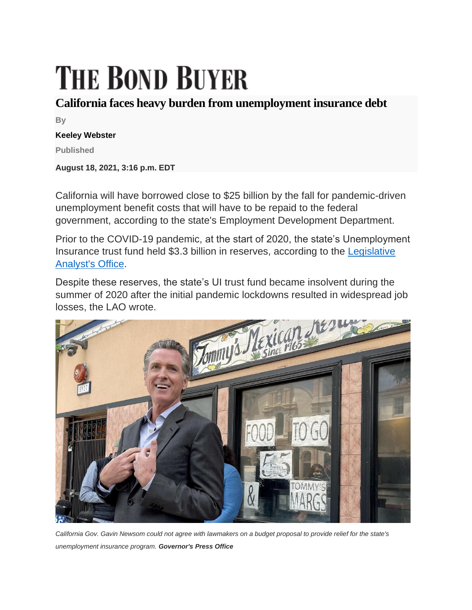## **THE BOND BUYER**

## **California faces heavy burden from unemployment insurance debt**

**By**

## **Keeley Webster**

**Published**

**August 18, 2021, 3:16 p.m. EDT**

California will have borrowed close to \$25 billion by the fall for pandemic-driven unemployment benefit costs that will have to be repaid to the federal government, according to the state's Employment Development Department.

Prior to the COVID-19 pandemic, at the start of 2020, the state's Unemployment Insurance trust fund held \$3.3 billion in reserves, according to the [Legislative](https://lao.ca.gov/Publications/Report/4442)  [Analyst's Office.](https://lao.ca.gov/Publications/Report/4442)

Despite these reserves, the state's UI trust fund became insolvent during the summer of 2020 after the initial pandemic lockdowns resulted in widespread job losses, the LAO wrote.



*California Gov. Gavin Newsom could not agree with lawmakers on a budget proposal to provide relief for the state's unemployment insurance program. Governor's Press Office*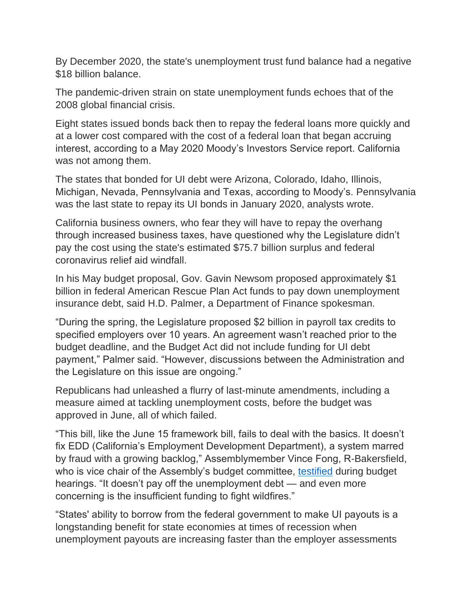By December 2020, the state's unemployment trust fund balance had a negative \$18 billion balance.

The pandemic-driven strain on state unemployment funds echoes that of the 2008 global financial crisis.

Eight states issued bonds back then to repay the federal loans more quickly and at a lower cost compared with the cost of a federal loan that began accruing interest, according to a May 2020 Moody's Investors Service report. California was not among them.

The states that bonded for UI debt were Arizona, Colorado, Idaho, Illinois, Michigan, Nevada, Pennsylvania and Texas, according to Moody's. Pennsylvania was the last state to repay its UI bonds in January 2020, analysts wrote.

California business owners, who fear they will have to repay the overhang through increased business taxes, have questioned why the Legislature didn't pay the cost using the state's estimated \$75.7 billion surplus and federal coronavirus relief aid windfall.

In his May budget proposal, Gov. Gavin Newsom proposed approximately \$1 billion in federal American Rescue Plan Act funds to pay down unemployment insurance debt, said H.D. Palmer, a Department of Finance spokesman.

"During the spring, the Legislature proposed \$2 billion in payroll tax credits to specified employers over 10 years. An agreement wasn't reached prior to the budget deadline, and the Budget Act did not include funding for UI debt payment," Palmer said. "However, discussions between the Administration and the Legislature on this issue are ongoing."

Republicans had unleashed a flurry of last-minute amendments, including a measure aimed at tackling unemployment costs, before the budget was approved in June, all of which failed.

"This bill, like the June 15 framework bill, fails to deal with the basics. It doesn't fix EDD (California's Employment Development Department), a system marred by fraud with a growing backlog," Assemblymember Vince Fong, R-Bakersfield, who is vice chair of the Assembly's budget committee, [testified](https://www.bondbuyer.com/news/democrats-cheer-californias-budget-republicans-see-it-as-a-missed-opportunity) during budget hearings. "It doesn't pay off the unemployment debt — and even more concerning is the insufficient funding to fight wildfires."

"States' ability to borrow from the federal government to make UI payouts is a longstanding benefit for state economies at times of recession when unemployment payouts are increasing faster than the employer assessments